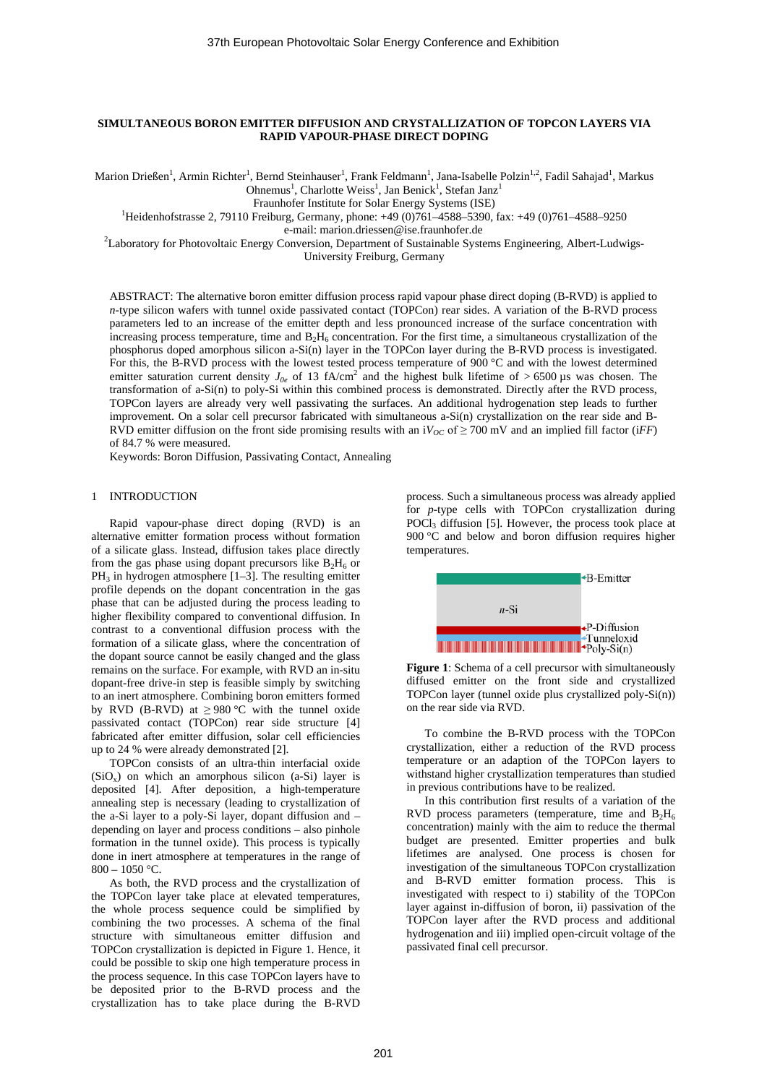# **SIMULTANEOUS BORON EMITTER DIFFUSION AND CRYSTALLIZATION OF TOPCON LAYERS VIA RAPID VAPOUR-PHASE DIRECT DOPING**

Marion Drießen<sup>1</sup>, Armin Richter<sup>1</sup>, Bernd Steinhauser<sup>1</sup>, Frank Feldmann<sup>1</sup>, Jana-Isabelle Polzin<sup>1,2</sup>, Fadil Sahajad<sup>1</sup>, Markus Ohnemus<sup>1</sup>, Charlotte Weiss<sup>1</sup>, Jan Benick<sup>1</sup>, Stefan Janz<sup>1</sup>

Fraunhofer Institute for Solar Energy Systems (ISE)<br><sup>1</sup>Heidenhofstrasse 2, 79110 Freiburg, Germany, phone: +49 (0)761–4588–5390, fax: +49 (0)761–4588–9250

e-mail: marion.driessen@ise.fraunhofer.de<br><sup>2</sup>Laboratory for Photovoltaic Energy Conversion, Department of Sustainable Systems Engineering, Albert-Ludwigs-University Freiburg, Germany

ABSTRACT: The alternative boron emitter diffusion process rapid vapour phase direct doping (B-RVD) is applied to *n*-type silicon wafers with tunnel oxide passivated contact (TOPCon) rear sides. A variation of the B-RVD process parameters led to an increase of the emitter depth and less pronounced increase of the surface concentration with increasing process temperature, time and  $B_2H_6$  concentration. For the first time, a simultaneous crystallization of the phosphorus doped amorphous silicon a-Si(n) layer in the TOPCon layer during the B-RVD process is investigated. For this, the B-RVD process with the lowest tested process temperature of 900 °C and with the lowest determined emitter saturation current density  $J_{0e}$  of 13 fA/cm<sup>2</sup> and the highest bulk lifetime of > 6500 µs was chosen. The transformation of a-Si(n) to poly-Si within this combined process is demonstrated. Directly after the RVD process, TOPCon layers are already very well passivating the surfaces. An additional hydrogenation step leads to further improvement. On a solar cell precursor fabricated with simultaneous a-Si(n) crystallization on the rear side and B-RVD emitter diffusion on the front side promising results with an  $iV_{OC}$  of  $\geq$  700 mV and an implied fill factor (*iFF*) of 84.7 % were measured.

Keywords: Boron Diffusion, Passivating Contact, Annealing

## 1 INTRODUCTION

Rapid vapour-phase direct doping (RVD) is an alternative emitter formation process without formation of a silicate glass. Instead, diffusion takes place directly from the gas phase using dopant precursors like  $B_2H_6$  or  $PH_3$  in hydrogen atmosphere [1–3]. The resulting emitter profile depends on the dopant concentration in the gas phase that can be adjusted during the process leading to higher flexibility compared to conventional diffusion. In contrast to a conventional diffusion process with the formation of a silicate glass, where the concentration of the dopant source cannot be easily changed and the glass remains on the surface. For example, with RVD an in-situ dopant-free drive-in step is feasible simply by switching to an inert atmosphere. Combining boron emitters formed by RVD (B-RVD) at  $\geq$  980 °C with the tunnel oxide passivated contact (TOPCon) rear side structure [4] fabricated after emitter diffusion, solar cell efficiencies up to 24 % were already demonstrated [2].

TOPCon consists of an ultra-thin interfacial oxide  $(SiO<sub>x</sub>)$  on which an amorphous silicon (a-Si) layer is deposited [4]. After deposition, a high-temperature annealing step is necessary (leading to crystallization of the a-Si layer to a poly-Si layer, dopant diffusion and – depending on layer and process conditions – also pinhole formation in the tunnel oxide). This process is typically done in inert atmosphere at temperatures in the range of  $800 - 1050$  °C.

As both, the RVD process and the crystallization of the TOPCon layer take place at elevated temperatures, the whole process sequence could be simplified by combining the two processes. A schema of the final structure with simultaneous emitter diffusion and TOPCon crystallization is depicted in [Figure 1.](#page-0-0) Hence, it could be possible to skip one high temperature process in the process sequence. In this case TOPCon layers have to be deposited prior to the B-RVD process and the crystallization has to take place during the B-RVD

process. Such a simultaneous process was already applied for *p*-type cells with TOPCon crystallization during POCl<sub>3</sub> diffusion [5]. However, the process took place at 900 °C and below and boron diffusion requires higher temperatures.



<span id="page-0-0"></span>**Figure 1**: Schema of a cell precursor with simultaneously diffused emitter on the front side and crystallized TOPCon layer (tunnel oxide plus crystallized poly-Si(n)) on the rear side via RVD.

To combine the B-RVD process with the TOPCon crystallization, either a reduction of the RVD process temperature or an adaption of the TOPCon layers to withstand higher crystallization temperatures than studied in previous contributions have to be realized.

In this contribution first results of a variation of the RVD process parameters (temperature, time and  $B_2H_6$ ) concentration) mainly with the aim to reduce the thermal budget are presented. Emitter properties and bulk lifetimes are analysed. One process is chosen for investigation of the simultaneous TOPCon crystallization and B-RVD emitter formation process. This is investigated with respect to i) stability of the TOPCon layer against in-diffusion of boron, ii) passivation of the TOPCon layer after the RVD process and additional hydrogenation and iii) implied open-circuit voltage of the passivated final cell precursor.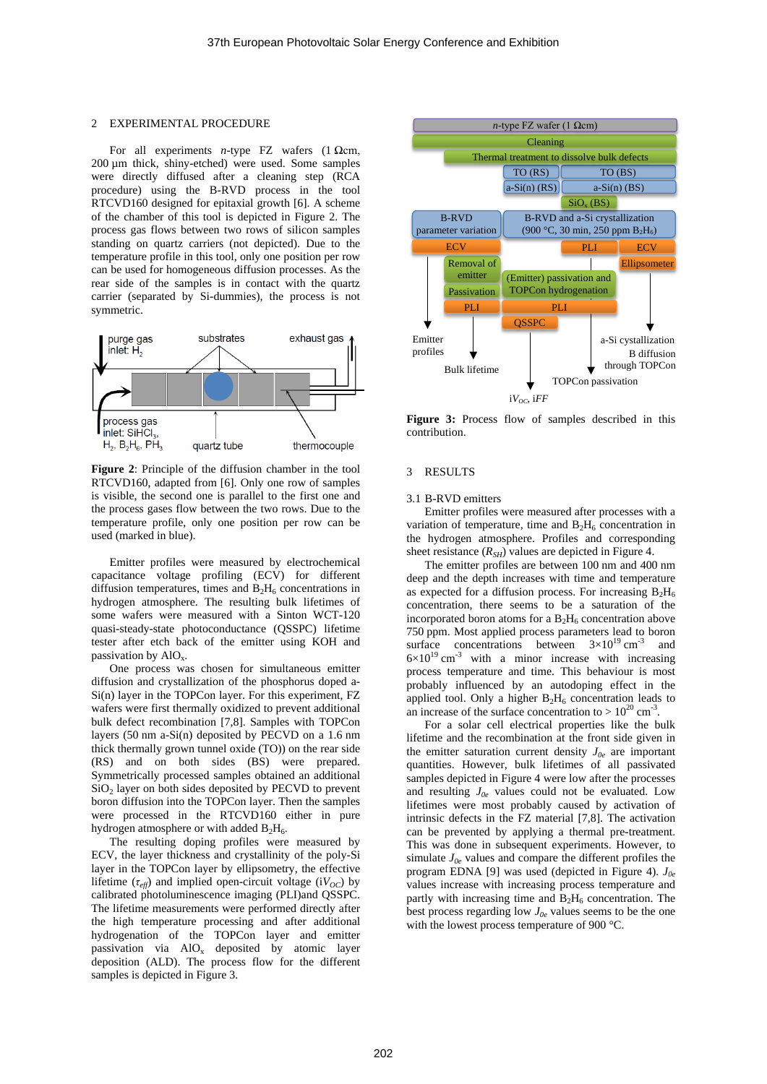## 2 EXPERIMENTAL PROCEDURE

For all experiments *n*-type FZ wafers (1  $\Omega$ cm, 200 µm thick, shiny-etched) were used. Some samples were directly diffused after a cleaning step (RCA procedure) using the B-RVD process in the tool RTCVD160 designed for epitaxial growth [6]. A scheme of the chamber of this tool is depicted in [Figure 2.](#page-1-0) The process gas flows between two rows of silicon samples standing on quartz carriers (not depicted). Due to the temperature profile in this tool, only one position per row can be used for homogeneous diffusion processes. As the rear side of the samples is in contact with the quartz carrier (separated by Si-dummies), the process is not symmetric.



<span id="page-1-0"></span>**Figure 2**: Principle of the diffusion chamber in the tool RTCVD160, adapted from [6]. Only one row of samples is visible, the second one is parallel to the first one and the process gases flow between the two rows. Due to the temperature profile, only one position per row can be used (marked in blue).

Emitter profiles were measured by electrochemical capacitance voltage profiling (ECV) for different diffusion temperatures, times and  $B_2H_6$  concentrations in hydrogen atmosphere. The resulting bulk lifetimes of some wafers were measured with a Sinton WCT-120 quasi-steady-state photoconductance (QSSPC) lifetime tester after etch back of the emitter using KOH and passivation by  $AIO_x$ .

One process was chosen for simultaneous emitter diffusion and crystallization of the phosphorus doped a-Si(n) layer in the TOPCon layer. For this experiment, FZ wafers were first thermally oxidized to prevent additional bulk defect recombination [7,8]. Samples with TOPCon layers (50 nm a-Si(n) deposited by PECVD on a 1.6 nm thick thermally grown tunnel oxide (TO)) on the rear side (RS) and on both sides (BS) were prepared. Symmetrically processed samples obtained an additional  $SiO<sub>2</sub>$  layer on both sides deposited by PECVD to prevent boron diffusion into the TOPCon layer. Then the samples were processed in the RTCVD160 either in pure hydrogen atmosphere or with added  $B_2H_6$ .

The resulting doping profiles were measured by ECV, the layer thickness and crystallinity of the poly-Si layer in the TOPCon layer by ellipsometry, the effective lifetime  $(\tau_{\text{eff}})$  and implied open-circuit voltage (i $V_{OC}$ ) by calibrated photoluminescence imaging (PLI)and QSSPC. The lifetime measurements were performed directly after the high temperature processing and after additional hydrogenation of the TOPCon layer and emitter passivation via  $AIO<sub>x</sub>$  deposited by atomic layer deposition (ALD). The process flow for the different samples is depicted in [Figure 3.](#page-1-1)



<span id="page-1-1"></span>**Figure 3:** Process flow of samples described in this contribution.

#### 3 RESULTS

## 3.1 B-RVD emitters

Emitter profiles were measured after processes with a variation of temperature, time and  $B_2H_6$  concentration in the hydrogen atmosphere. Profiles and corresponding sheet resistance  $(R_{SH})$  values are depicted in Figure 4.

The emitter profiles are between 100 nm and 400 nm deep and the depth increases with time and temperature as expected for a diffusion process. For increasing  $B_2H_6$ concentration, there seems to be a saturation of the incorporated boron atoms for a  $B_2H_6$  concentration above 750 ppm. Most applied process parameters lead to boron surface concentrations between  $3 \times 10^{19}$  cm<sup>-3</sup> and  $6\times10^{19}$  cm<sup>-3</sup> with a minor increase with increasing process temperature and time. This behaviour is most probably influenced by an autodoping effect in the applied tool. Only a higher  $B_2H_6$  concentration leads to an increase of the surface concentration to  $> 10^{20}$  cm<sup>-3</sup>.

For a solar cell electrical properties like the bulk lifetime and the recombination at the front side given in the emitter saturation current density  $J_{0e}$  are important quantities. However, bulk lifetimes of all passivated samples depicted in Figure 4 were low after the processes and resulting *J0e* values could not be evaluated. Low lifetimes were most probably caused by activation of intrinsic defects in the FZ material [7,8]. The activation can be prevented by applying a thermal pre-treatment. This was done in subsequent experiments. However, to simulate  $J_{0e}$  values and compare the different profiles the program EDNA [9] was used (depicted in Figure 4). *J0e* values increase with increasing process temperature and partly with increasing time and  $\overline{B_2H_6}$  concentration. The best process regarding low  $J_{0e}$  values seems to be the one with the lowest process temperature of 900 °C.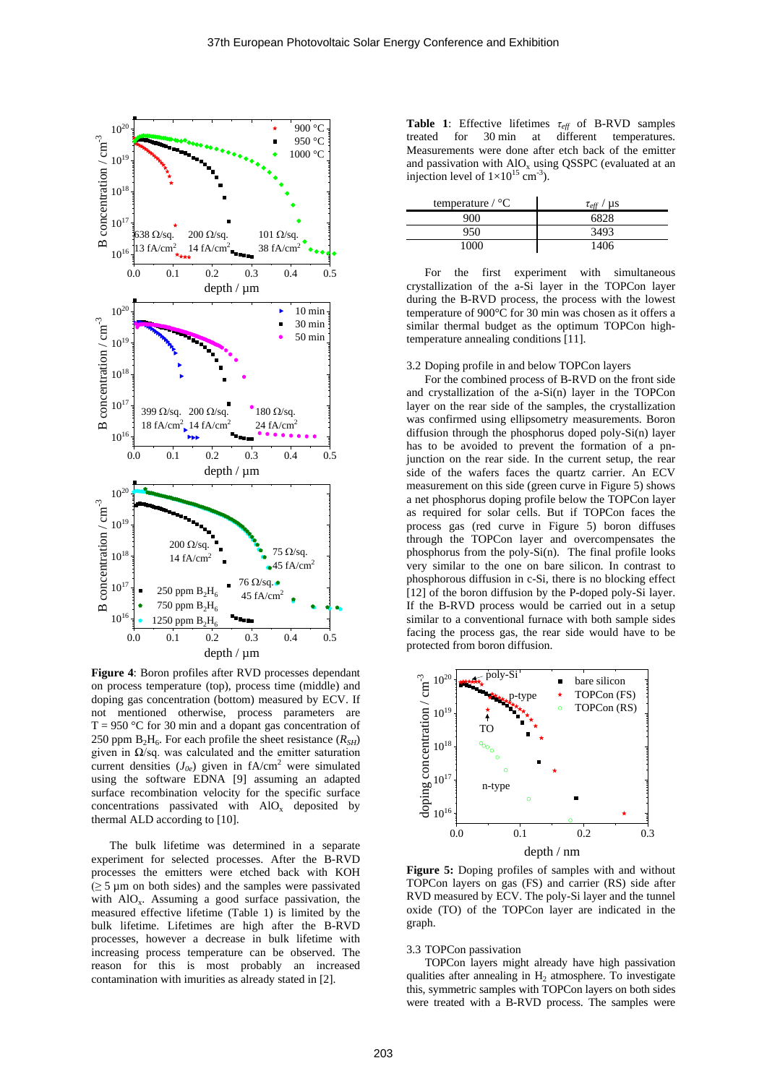

**Figure 4**: Boron profiles after RVD processes dependant on process temperature (top), process time (middle) and doping gas concentration (bottom) measured by ECV. If not mentioned otherwise, process parameters are  $T = 950$  °C for 30 min and a dopant gas concentration of 250 ppm  $B_2H_6$ . For each profile the sheet resistance  $(R_{SH})$ given in  $\Omega$ /sq. was calculated and the emitter saturation current densities  $(J_{0e})$  given in  $fA/cm^2$  were simulated using the software EDNA [9] assuming an adapted surface recombination velocity for the specific surface concentrations passivated with  $AIO<sub>x</sub>$  deposited by thermal ALD according to [10].

The bulk lifetime was determined in a separate experiment for selected processes. After the B-RVD processes the emitters were etched back with KOH  $(\geq 5 \,\mu \text{m}$  on both sides) and the samples were passivated with  $AIO<sub>x</sub>$ . Assuming a good surface passivation, the measured effective lifetime [\(Table 1\)](#page-2-0) is limited by the bulk lifetime. Lifetimes are high after the B-RVD processes, however a decrease in bulk lifetime with increasing process temperature can be observed. The reason for this is most probably an increased contamination with imurities as already stated in [2].

<span id="page-2-0"></span>**Table 1**: Effective lifetimes *τeff* of B-RVD samples treated for 30 min at different temperatures. Measurements were done after etch back of the emitter and passivation with  $AIO<sub>x</sub>$  using QSSPC (evaluated at an injection level of  $1 \times 10^{15}$  cm<sup>-3</sup>).

| temperature $\sqrt{\ }$ °C | $\mu s$<br>$\tau_{\scriptscriptstyle \rho ff}$ |
|----------------------------|------------------------------------------------|
| 900                        |                                                |
| 950                        | 3493                                           |
| 1ሰበበ                       | 1406                                           |

For the first experiment with simultaneous crystallization of the a-Si layer in the TOPCon layer during the B-RVD process, the process with the lowest temperature of 900°C for 30 min was chosen as it offers a similar thermal budget as the optimum TOPCon hightemperature annealing conditions [11].

## 3.2 Doping profile in and below TOPCon layers

For the combined process of B-RVD on the front side and crystallization of the a-Si(n) layer in the TOPCon layer on the rear side of the samples, the crystallization was confirmed using ellipsometry measurements. Boron diffusion through the phosphorus doped poly-Si(n) layer has to be avoided to prevent the formation of a pnjunction on the rear side. In the current setup, the rear side of the wafers faces the quartz carrier. An ECV measurement on this side (green curve in [Figure 5\)](#page-2-1) shows a net phosphorus doping profile below the TOPCon layer as required for solar cells. But if TOPCon faces the process gas (red curve in [Figure 5\)](#page-2-1) boron diffuses through the TOPCon layer and overcompensates the phosphorus from the poly-Si(n). The final profile looks very similar to the one on bare silicon. In contrast to phosphorous diffusion in c-Si, there is no blocking effect [12] of the boron diffusion by the P-doped poly-Si layer. If the B-RVD process would be carried out in a setup similar to a conventional furnace with both sample sides facing the process gas, the rear side would have to be protected from boron diffusion.



<span id="page-2-1"></span>**Figure 5:** Doping profiles of samples with and without TOPCon layers on gas (FS) and carrier (RS) side after RVD measured by ECV. The poly-Si layer and the tunnel oxide (TO) of the TOPCon layer are indicated in the graph.

# 3.3 TOPCon passivation

TOPCon layers might already have high passivation qualities after annealing in  $H_2$  atmosphere. To investigate this, symmetric samples with TOPCon layers on both sides were treated with a B-RVD process. The samples were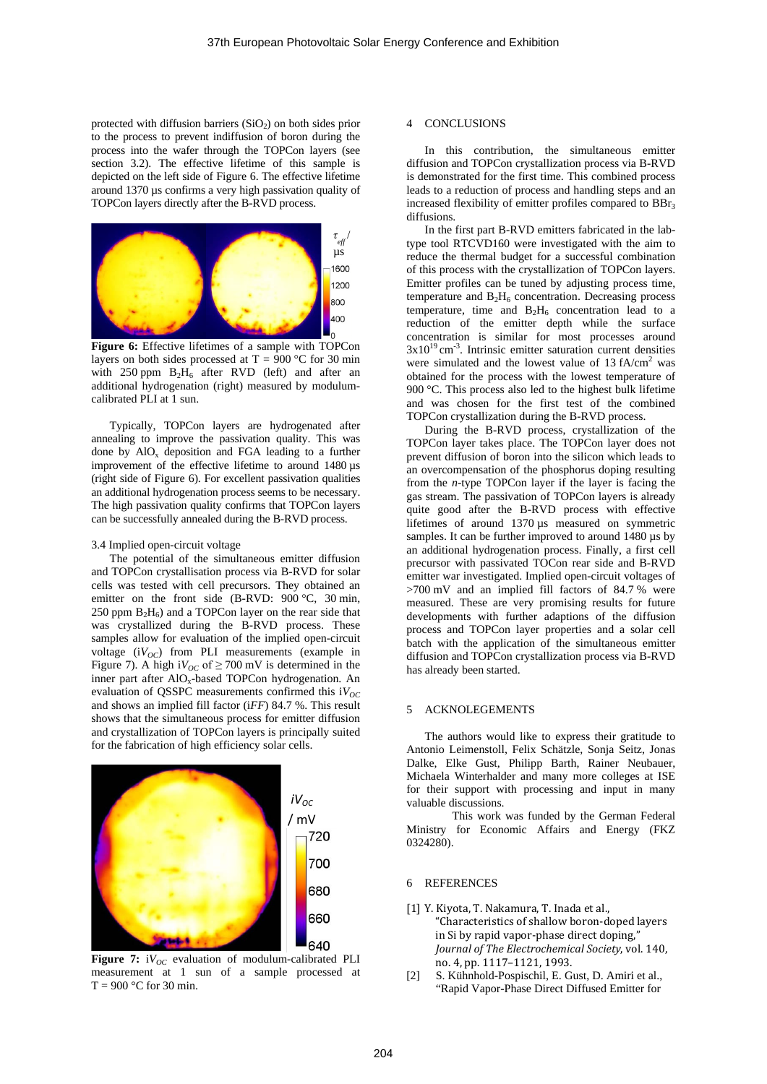protected with diffusion barriers  $(SiO<sub>2</sub>)$  on both sides prior to the process to prevent indiffusion of boron during the process into the wafer through the TOPCon layers (see section 3.2). The effective lifetime of this sample is depicted on the left side of [Figure 6.](#page-3-0) The effective lifetime around 1370 µs confirms a very high passivation quality of TOPCon layers directly after the B-RVD process.



<span id="page-3-0"></span>Figure 6: Effective lifetimes of a sample with TOPCon layers on both sides processed at T =  $900 °C$  for 30 min with  $250$  ppm  $B_2H_6$  after RVD (left) and after an additional hydrogenation (right) measured by modulumcalibrated PLI at 1 sun.

Typically, TOPCon layers are hydrogenated after annealing to improve the passivation quality. This was done by AlO<sub>y</sub> deposition and FGA leading to a further improvement of the effective lifetime to around 1480 µs (right side of [Figure 6\)](#page-3-0). For excellent passivation qualities an additional hydrogenation process seems to be necessary. The high passivation quality confirms that TOPCon layers can be successfully annealed during the B-RVD process.

#### 3.4 Implied open-circuit voltage

The potential of the simultaneous emitter diffusion and TOPCon crystallisation process via B-RVD for solar cells was tested with cell precursors. They obtained an emitter on the front side (B-RVD: 900 °C, 30 min, 250 ppm  $B_2H_6$ ) and a TOPCon layer on the rear side that was crystallized during the B-RVD process. These samples allow for evaluation of the implied open-circuit voltage  $(iV_{OC})$  from PLI measurements (example in [Figure 7\)](#page-3-1). A high i $V_{OC}$  of  $\geq$  700 mV is determined in the inner part after  $AIO<sub>x</sub>$ -based TOPCon hydrogenation. An evaluation of QSSPC measurements confirmed this  $iV_{OC}$ and shows an implied fill factor (i*FF*) 84.7 %. This result shows that the simultaneous process for emitter diffusion and crystallization of TOPCon layers is principally suited for the fabrication of high efficiency solar cells.



<span id="page-3-1"></span>Figure 7:  $iV_{OC}$  evaluation of modulum-calibrated PLI measurement at 1 sun of a sample processed at  $T = 900$  °C for 30 min.

### 4 CONCLUSIONS

In this contribution, the simultaneous emitter diffusion and TOPCon crystallization process via B-RVD is demonstrated for the first time. This combined process leads to a reduction of process and handling steps and an increased flexibility of emitter profiles compared to BBr<sub>3</sub> diffusions.

In the first part B-RVD emitters fabricated in the labtype tool RTCVD160 were investigated with the aim to reduce the thermal budget for a successful combination of this process with the crystallization of TOPCon layers. Emitter profiles can be tuned by adjusting process time, temperature and  $B_2H_6$  concentration. Decreasing process temperature, time and  $B_2H_6$  concentration lead to a reduction of the emitter depth while the surface concentration is similar for most processes around  $3x10^{19}$  cm<sup>-3</sup>. Intrinsic emitter saturation current densities were simulated and the lowest value of  $13 \text{ fA/cm}^2$  was obtained for the process with the lowest temperature of 900 °C. This process also led to the highest bulk lifetime and was chosen for the first test of the combined TOPCon crystallization during the B-RVD process.

During the B-RVD process, crystallization of the TOPCon layer takes place. The TOPCon layer does not prevent diffusion of boron into the silicon which leads to an overcompensation of the phosphorus doping resulting from the *n*-type TOPCon layer if the layer is facing the gas stream. The passivation of TOPCon layers is already quite good after the B-RVD process with effective lifetimes of around 1370 µs measured on symmetric samples. It can be further improved to around 1480 µs by an additional hydrogenation process. Finally, a first cell precursor with passivated TOCon rear side and B-RVD emitter war investigated. Implied open-circuit voltages of >700 mV and an implied fill factors of 84.7 % were measured. These are very promising results for future developments with further adaptions of the diffusion process and TOPCon layer properties and a solar cell batch with the application of the simultaneous emitter diffusion and TOPCon crystallization process via B-RVD has already been started.

## 5 ACKNOLEGEMENTS

The authors would like to express their gratitude to Antonio Leimenstoll, Felix Schätzle, Sonja Seitz, Jonas Dalke, Elke Gust, Philipp Barth, Rainer Neubauer, Michaela Winterhalder and many more colleges at ISE for their support with processing and input in many valuable discussions.

This work was funded by the German Federal Ministry for Economic Affairs and Energy (FKZ 0324280).

### 6 REFERENCES

- [1] Y. Kiyota, T. Nakamura, T. Inada et al., "Characteristics of shallow boron-doped layers in Si by rapid vapor-phase direct doping," *Journal of The Electrochemical Society*, vol. 140, no. 4, pp. 1117–1121, 1993.
- [2] S. Kühnhold-Pospischil, E. Gust, D. Amiri et al., "Rapid Vapor-Phase Direct Diffused Emitter for